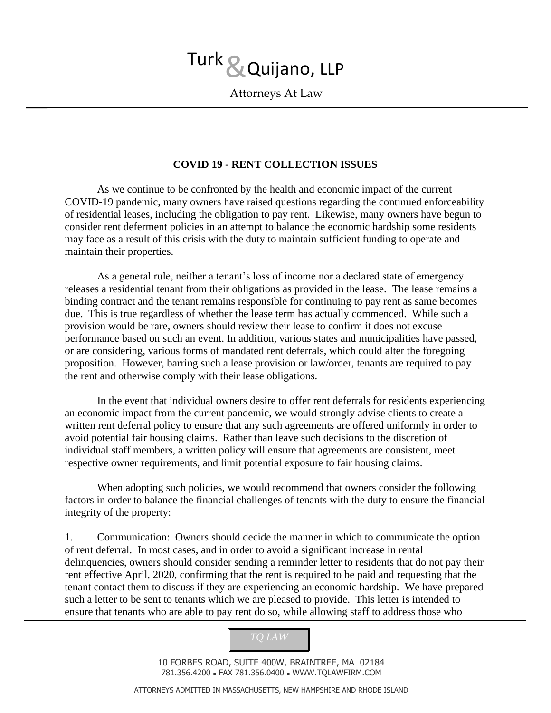Attorneys At Law

## **COVID 19 - RENT COLLECTION ISSUES**

As we continue to be confronted by the health and economic impact of the current COVID-19 pandemic, many owners have raised questions regarding the continued enforceability of residential leases, including the obligation to pay rent. Likewise, many owners have begun to consider rent deferment policies in an attempt to balance the economic hardship some residents may face as a result of this crisis with the duty to maintain sufficient funding to operate and maintain their properties.

As a general rule, neither a tenant's loss of income nor a declared state of emergency releases a residential tenant from their obligations as provided in the lease. The lease remains a binding contract and the tenant remains responsible for continuing to pay rent as same becomes due. This is true regardless of whether the lease term has actually commenced. While such a provision would be rare, owners should review their lease to confirm it does not excuse performance based on such an event. In addition, various states and municipalities have passed, or are considering, various forms of mandated rent deferrals, which could alter the foregoing proposition. However, barring such a lease provision or law/order, tenants are required to pay the rent and otherwise comply with their lease obligations.

In the event that individual owners desire to offer rent deferrals for residents experiencing an economic impact from the current pandemic, we would strongly advise clients to create a written rent deferral policy to ensure that any such agreements are offered uniformly in order to avoid potential fair housing claims. Rather than leave such decisions to the discretion of individual staff members, a written policy will ensure that agreements are consistent, meet respective owner requirements, and limit potential exposure to fair housing claims.

When adopting such policies, we would recommend that owners consider the following factors in order to balance the financial challenges of tenants with the duty to ensure the financial integrity of the property:

1. Communication: Owners should decide the manner in which to communicate the option of rent deferral. In most cases, and in order to avoid a significant increase in rental delinquencies, owners should consider sending a reminder letter to residents that do not pay their rent effective April, 2020, confirming that the rent is required to be paid and requesting that the tenant contact them to discuss if they are experiencing an economic hardship. We have prepared such a letter to be sent to tenants which we are pleased to provide. This letter is intended to ensure that tenants who are able to pay rent do so, while allowing staff to address those who



10 FORBES ROAD, SUITE 400W, BRAINTREE, MA 02184 781.356.4200 ■ FAX 781.356.0400 ■ WWW.TQLAWFIRM.COM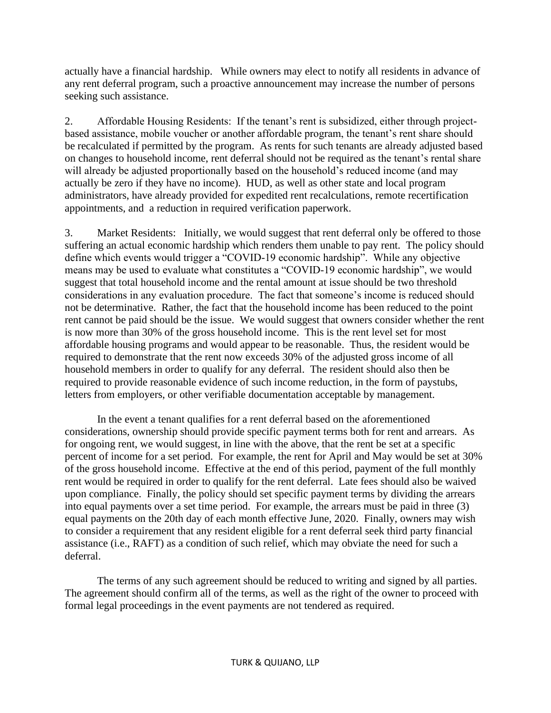actually have a financial hardship. While owners may elect to notify all residents in advance of any rent deferral program, such a proactive announcement may increase the number of persons seeking such assistance.

2. Affordable Housing Residents: If the tenant's rent is subsidized, either through projectbased assistance, mobile voucher or another affordable program, the tenant's rent share should be recalculated if permitted by the program. As rents for such tenants are already adjusted based on changes to household income, rent deferral should not be required as the tenant's rental share will already be adjusted proportionally based on the household's reduced income (and may actually be zero if they have no income). HUD, as well as other state and local program administrators, have already provided for expedited rent recalculations, remote recertification appointments, and a reduction in required verification paperwork.

3. Market Residents: Initially, we would suggest that rent deferral only be offered to those suffering an actual economic hardship which renders them unable to pay rent. The policy should define which events would trigger a "COVID-19 economic hardship". While any objective means may be used to evaluate what constitutes a "COVID-19 economic hardship", we would suggest that total household income and the rental amount at issue should be two threshold considerations in any evaluation procedure. The fact that someone's income is reduced should not be determinative. Rather, the fact that the household income has been reduced to the point rent cannot be paid should be the issue. We would suggest that owners consider whether the rent is now more than 30% of the gross household income. This is the rent level set for most affordable housing programs and would appear to be reasonable. Thus, the resident would be required to demonstrate that the rent now exceeds 30% of the adjusted gross income of all household members in order to qualify for any deferral. The resident should also then be required to provide reasonable evidence of such income reduction, in the form of paystubs, letters from employers, or other verifiable documentation acceptable by management.

In the event a tenant qualifies for a rent deferral based on the aforementioned considerations, ownership should provide specific payment terms both for rent and arrears. As for ongoing rent, we would suggest, in line with the above, that the rent be set at a specific percent of income for a set period. For example, the rent for April and May would be set at 30% of the gross household income. Effective at the end of this period, payment of the full monthly rent would be required in order to qualify for the rent deferral. Late fees should also be waived upon compliance. Finally, the policy should set specific payment terms by dividing the arrears into equal payments over a set time period. For example, the arrears must be paid in three (3) equal payments on the 20th day of each month effective June, 2020. Finally, owners may wish to consider a requirement that any resident eligible for a rent deferral seek third party financial assistance (i.e., RAFT) as a condition of such relief, which may obviate the need for such a deferral.

The terms of any such agreement should be reduced to writing and signed by all parties. The agreement should confirm all of the terms, as well as the right of the owner to proceed with formal legal proceedings in the event payments are not tendered as required.